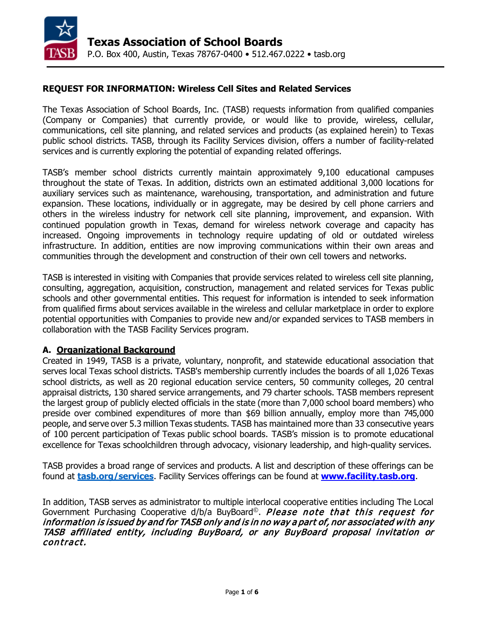

#### **REQUEST FOR INFORMATION: Wireless Cell Sites and Related Services**

The Texas Association of School Boards, Inc. (TASB) requests information from qualified companies (Company or Companies) that currently provide, or would like to provide, wireless, cellular, communications, cell site planning, and related services and products (as explained herein) to Texas public school districts. TASB, through its Facility Services division, offers a number of facility-related services and is currently exploring the potential of expanding related offerings.

TASB's member school districts currently maintain approximately 9,100 educational campuses throughout the state of Texas. In addition, districts own an estimated additional 3,000 locations for auxiliary services such as maintenance, warehousing, transportation, and administration and future expansion. These locations, individually or in aggregate, may be desired by cell phone carriers and others in the wireless industry for network cell site planning, improvement, and expansion. With continued population growth in Texas, demand for wireless network coverage and capacity has increased. Ongoing improvements in technology require updating of old or outdated wireless infrastructure. In addition, entities are now improving communications within their own areas and communities through the development and construction of their own cell towers and networks.

TASB is interested in visiting with Companies that provide services related to wireless cell site planning, consulting, aggregation, acquisition, construction, management and related services for Texas public schools and other governmental entities. This request for information is intended to seek information from qualified firms about services available in the wireless and cellular marketplace in order to explore potential opportunities with Companies to provide new and/or expanded services to TASB members in collaboration with the TASB Facility Services program.

#### **A. Organizational Background**

Created in 1949, TASB is a private, voluntary, nonprofit, and statewide educational association that serves local Texas school districts. TASB's membership currently includes the boards of all 1,026 Texas school districts, as well as 20 regional education service centers, 50 community colleges, 20 central appraisal districts, 130 shared service arrangements, and 79 charter schools. TASB members represent the largest group of publicly elected officials in the state (more than 7,000 school board members) who preside over combined expenditures of more than \$69 billion annually, employ more than 745,000 people, and serve over 5.3 million Texas students. TASB has maintained more than 33 consecutive years of 100 percent participation of Texas public school boards. TASB's mission is to promote educational excellence for Texas schoolchildren through advocacy, visionary leadership, and high-quality services.

TASB provides a broad range of services and products. A list and description of these offerings can be found at **[tasb.org/services](http://tasb.org/services)**. Facility Services offerings can be found at **[www.facility.tasb.org](http://www.facility.tasb.org/)**.

In addition, TASB serves as administrator to multiple interlocal cooperative entities including The Local Government Purchasing Cooperative d/b/a BuyBoard<sup>©</sup>. *Please note that this request for* information is issued by and for TASB only and is in no way a part of, nor associated with any TASB affiliated entity, including BuyBoard, or any BuyBoard proposal invitation or contract.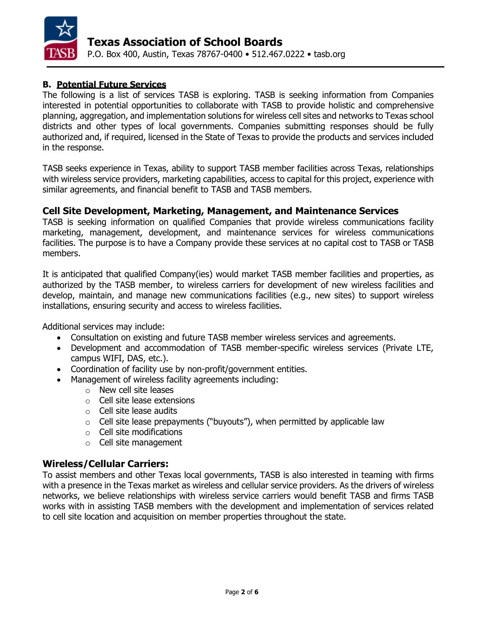

# **B. Potential Future Services**

The following is a list of services TASB is exploring. TASB is seeking information from Companies interested in potential opportunities to collaborate with TASB to provide holistic and comprehensive planning, aggregation, and implementation solutions for wireless cell sites and networks to Texas school districts and other types of local governments. Companies submitting responses should be fully authorized and, if required, licensed in the State of Texas to provide the products and services included in the response.

TASB seeks experience in Texas, ability to support TASB member facilities across Texas, relationships with wireless service providers, marketing capabilities, access to capital for this project, experience with similar agreements, and financial benefit to TASB and TASB members.

## **Cell Site Development, Marketing, Management, and Maintenance Services**

TASB is seeking information on qualified Companies that provide wireless communications facility marketing, management, development, and maintenance services for wireless communications facilities. The purpose is to have a Company provide these services at no capital cost to TASB or TASB members.

It is anticipated that qualified Company(ies) would market TASB member facilities and properties, as authorized by the TASB member, to wireless carriers for development of new wireless facilities and develop, maintain, and manage new communications facilities (e.g., new sites) to support wireless installations, ensuring security and access to wireless facilities.

Additional services may include:

- Consultation on existing and future TASB member wireless services and agreements.
- Development and accommodation of TASB member-specific wireless services (Private LTE, campus WIFI, DAS, etc.).
- Coordination of facility use by non-profit/government entities.
- Management of wireless facility agreements including:
	- o New cell site leases
	- o Cell site lease extensions
	- o Cell site lease audits
	- $\circ$  Cell site lease prepayments ("buyouts"), when permitted by applicable law
	- o Cell site modifications
	- o Cell site management

# **Wireless/Cellular Carriers:**

To assist members and other Texas local governments, TASB is also interested in teaming with firms with a presence in the Texas market as wireless and cellular service providers. As the drivers of wireless networks, we believe relationships with wireless service carriers would benefit TASB and firms TASB works with in assisting TASB members with the development and implementation of services related to cell site location and acquisition on member properties throughout the state.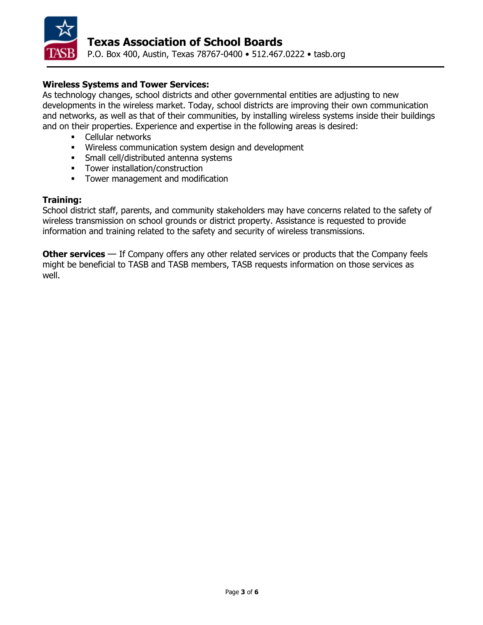

### **Wireless Systems and Tower Services:**

As technology changes, school districts and other governmental entities are adjusting to new developments in the wireless market. Today, school districts are improving their own communication and networks, as well as that of their communities, by installing wireless systems inside their buildings and on their properties. Experience and expertise in the following areas is desired:

- Cellular networks
- Wireless communication system design and development
- **Small cell/distributed antenna systems**
- **Tower installation/construction**
- **Tower management and modification**

#### **Training:**

School district staff, parents, and community stakeholders may have concerns related to the safety of wireless transmission on school grounds or district property. Assistance is requested to provide information and training related to the safety and security of wireless transmissions.

**Other services** — If Company offers any other related services or products that the Company feels might be beneficial to TASB and TASB members, TASB requests information on those services as well.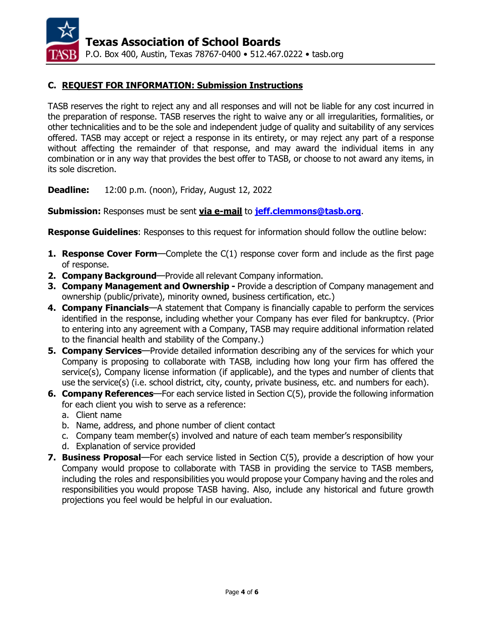

## **C. REQUEST FOR INFORMATION: Submission Instructions**

TASB reserves the right to reject any and all responses and will not be liable for any cost incurred in the preparation of response. TASB reserves the right to waive any or all irregularities, formalities, or other technicalities and to be the sole and independent judge of quality and suitability of any services offered. TASB may accept or reject a response in its entirety, or may reject any part of a response without affecting the remainder of that response, and may award the individual items in any combination or in any way that provides the best offer to TASB, or choose to not award any items, in its sole discretion.

**Deadline:** 12:00 p.m. (noon), Friday, August 12, 2022

**Submission:** Responses must be sent **via e-mail** to **[jeff.clemmons@tasb.org](mailto:jeff.clemmons@tasb.org)**.

**Response Guidelines**: Responses to this request for information should follow the outline below:

- **1. Response Cover Form**—Complete the C(1) response cover form and include as the first page of response.
- **2. Company Background**—Provide all relevant Company information.
- **3. Company Management and Ownership -** Provide a description of Company management and ownership (public/private), minority owned, business certification, etc.)
- **4. Company Financials**—A statement that Company is financially capable to perform the services identified in the response, including whether your Company has ever filed for bankruptcy. (Prior to entering into any agreement with a Company, TASB may require additional information related to the financial health and stability of the Company.)
- **5. Company Services**—Provide detailed information describing any of the services for which your Company is proposing to collaborate with TASB, including how long your firm has offered the service(s), Company license information (if applicable), and the types and number of clients that use the service(s) (i.e. school district, city, county, private business, etc. and numbers for each).
- **6. Company References**—For each service listed in Section C(5), provide the following information for each client you wish to serve as a reference:
	- a. Client name
	- b. Name, address, and phone number of client contact
	- c. Company team member(s) involved and nature of each team member's responsibility
	- d. Explanation of service provided
- **7. Business Proposal**—For each service listed in Section C(5), provide a description of how your Company would propose to collaborate with TASB in providing the service to TASB members, including the roles and responsibilities you would propose your Company having and the roles and responsibilities you would propose TASB having. Also, include any historical and future growth projections you feel would be helpful in our evaluation.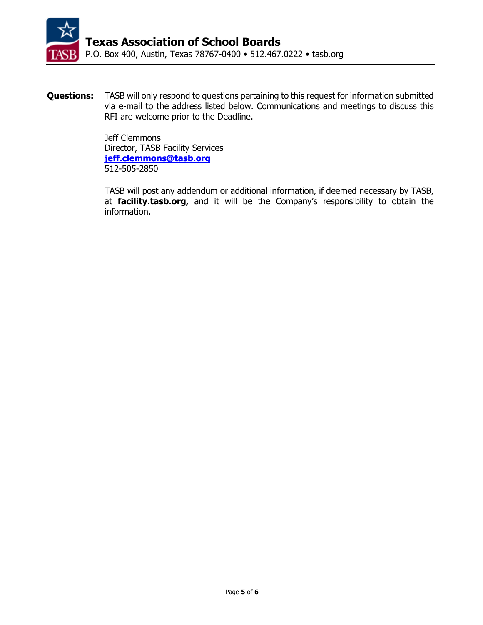

**Questions:** TASB will only respond to questions pertaining to this request for information submitted via e-mail to the address listed below. Communications and meetings to discuss this RFI are welcome prior to the Deadline.

> Jeff Clemmons Director, TASB Facility Services **[jeff.clemmons@tasb.org](mailto:jeff.clemmons@tasb.org)** 512-505-2850

TASB will post any addendum or additional information, if deemed necessary by TASB, at **facility.tasb.org,** and it will be the Company's responsibility to obtain the information.